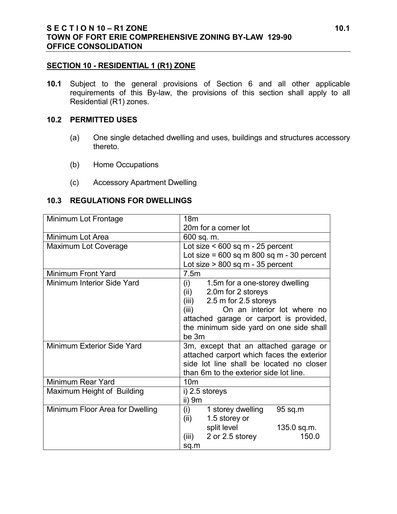#### **SECTION 10 - RESIDENTIAL 1 (R1) ZONE**

**10.1** Subject to the general provisions of Section 6 and all other applicable requirements of this By-law, the provisions of this section shall apply to all Residential (R1) zones.

#### **10.2 PERMITTED USES**

- (a) One single detached dwelling and uses, buildings and structures accessory thereto.
- (b) Home Occupations
- (c) Accessory Apartment Dwelling

#### **10.3 REGULATIONS FOR DWELLINGS**

| Minimum Lot Frontage            | 18 <sub>m</sub>                               |
|---------------------------------|-----------------------------------------------|
|                                 | 20m for a corner lot                          |
| Minimum Lot Area                | 600 sq. m.                                    |
| <b>Maximum Lot Coverage</b>     | Lot size $< 600$ sq m - 25 percent            |
|                                 | Lot size = $600$ sq m $800$ sq m - 30 percent |
|                                 | Lot size $> 800$ sq m - 35 percent            |
| Minimum Front Yard              | 7.5m                                          |
| Minimum Interior Side Yard      | (i)<br>1.5m for a one-storey dwelling         |
|                                 | 2.0m for 2 storeys<br>(ii)                    |
|                                 | $(iii)$ 2.5 m for 2.5 storeys                 |
|                                 | On an interior lot where no<br>(iii)          |
|                                 | attached garage or carport is provided,       |
|                                 | the minimum side yard on one side shall       |
|                                 | be 3m                                         |
| Minimum Exterior Side Yard      | 3m, except that an attached garage or         |
|                                 | attached carport which faces the exterior     |
|                                 | side lot line shall be located no closer      |
|                                 | than 6m to the exterior side lot line.        |
| Minimum Rear Yard               | 10 <sub>m</sub>                               |
| Maximum Height of Building      | i) 2.5 storeys                                |
|                                 | ii) 9m                                        |
| Minimum Floor Area for Dwelling | (i)<br>1 storey dwelling<br>95 sq.m           |
|                                 | 1.5 storey or<br>(ii)                         |
|                                 | split level<br>135.0 sq.m.                    |
|                                 | (iii)<br>2 or 2.5 storey<br>150.0             |
|                                 | sq.m                                          |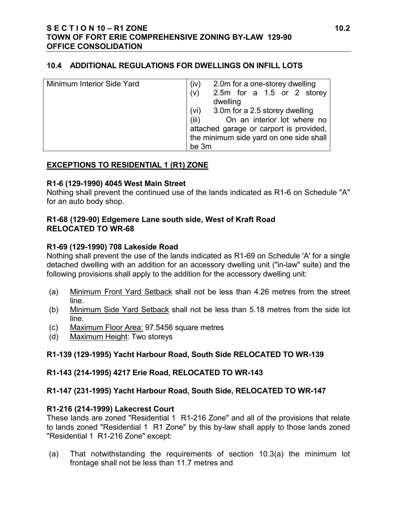#### **10.4 ADDITIONAL REGULATIONS FOR DWELLINGS ON INFILL LOTS**

| Minimum Interior Side Yard | 2.0m for a one-storey dwelling<br>(iv)<br>2.5m for a 1.5 or 2 storey<br>(v)<br>dwelling                                                                                       |
|----------------------------|-------------------------------------------------------------------------------------------------------------------------------------------------------------------------------|
|                            | 3.0m for a 2.5 storey dwelling<br>(vi)<br>On an interior lot where no<br>(iii)<br>attached garage or carport is provided,<br>the minimum side yard on one side shall<br>be 3m |

## **EXCEPTIONS TO RESIDENTIAL 1 (R1) ZONE**

#### **R1-6 (129-1990) 4045 West Main Street**

Nothing shall prevent the continued use of the lands indicated as R1-6 on Schedule "A" for an auto body shop.

### **R1-68 (129-90) Edgemere Lane south side, West of Kraft Road RELOCATED TO WR-68**

#### **R1-69 (129-1990) 708 Lakeside Road**

Nothing shall prevent the use of the lands indicated as R1-69 on Schedule 'A' for a single detached dwelling with an addition for an accessory dwelling unit ("in-law" suite) and the following provisions shall apply to the addition for the accessory dwelling unit:

- (a) Minimum Front Yard Setback shall not be less than 4.26 metres from the street line.
- (b) Minimum Side Yard Setback shall not be less than 5.18 metres from the side lot line.
- (c) Maximum Floor Area: 97.5456 square metres
- (d) Maximum Height: Two storeys

# **R1-139 (129-1995) Yacht Harbour Road, South Side RELOCATED TO WR-139**

# **R1-143 (214-1995) 4217 Erie Road, RELOCATED TO WR-143**

# **R1-147 (231-1995) Yacht Harbour Road, South Side, RELOCATED TO WR-147**

### **R1-216 (214-1999) Lakecrest Court**

These lands are zoned "Residential 1 R1-216 Zone" and all of the provisions that relate to lands zoned "Residential 1 R1 Zone" by this by-law shall apply to those lands zoned "Residential 1 R1-216 Zone" except:

(a) That notwithstanding the requirements of section 10.3(a) the minimum lot frontage shall not be less than 11.7 metres and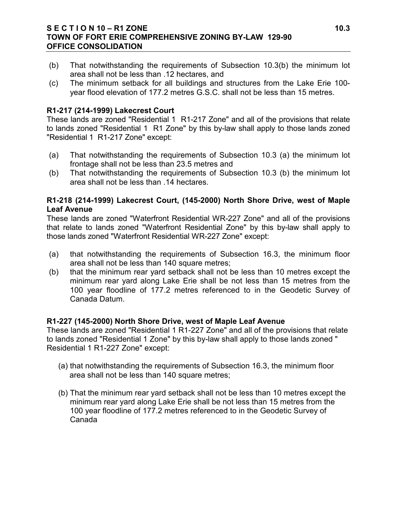### **S E C T I O N 10 – R1 ZONE 10.3 TOWN OF FORT ERIE COMPREHENSIVE ZONING BY-LAW 129-90 OFFICE CONSOLIDATION**

- (b) That notwithstanding the requirements of Subsection 10.3(b) the minimum lot area shall not be less than .12 hectares, and
- (c) The minimum setback for all buildings and structures from the Lake Erie 100 year flood elevation of 177.2 metres G.S.C. shall not be less than 15 metres.

## **R1-217 (214-1999) Lakecrest Court**

These lands are zoned "Residential 1 R1-217 Zone" and all of the provisions that relate to lands zoned "Residential 1 R1 Zone" by this by-law shall apply to those lands zoned "Residential 1 R1-217 Zone" except:

- (a) That notwithstanding the requirements of Subsection 10.3 (a) the minimum lot frontage shall not be less than 23.5 metres and
- (b) That notwithstanding the requirements of Subsection 10.3 (b) the minimum lot area shall not be less than .14 hectares.

## **R1-218 (214-1999) Lakecrest Court, (145-2000) North Shore Drive, west of Maple Leaf Avenue**

These lands are zoned "Waterfront Residential WR-227 Zone" and all of the provisions that relate to lands zoned "Waterfront Residential Zone" by this by-law shall apply to those lands zoned "Waterfront Residential WR-227 Zone" except:

- (a) that notwithstanding the requirements of Subsection 16.3, the minimum floor area shall not be less than 140 square metres;
- (b) that the minimum rear yard setback shall not be less than 10 metres except the minimum rear yard along Lake Erie shall be not less than 15 metres from the 100 year floodline of 177.2 metres referenced to in the Geodetic Survey of Canada Datum.

### **R1-227 (145-2000) North Shore Drive, west of Maple Leaf Avenue**

These lands are zoned "Residential 1 R1-227 Zone" and all of the provisions that relate to lands zoned "Residential 1 Zone" by this by-law shall apply to those lands zoned " Residential 1 R1-227 Zone" except:

- (a) that notwithstanding the requirements of Subsection 16.3, the minimum floor area shall not be less than 140 square metres;
- (b) That the minimum rear yard setback shall not be less than 10 metres except the minimum rear yard along Lake Erie shall be not less than 15 metres from the 100 year floodline of 177.2 metres referenced to in the Geodetic Survey of Canada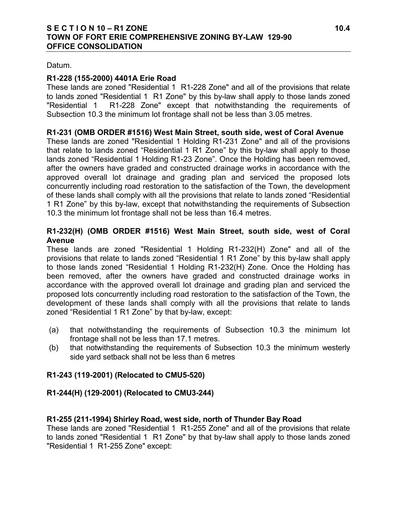### **S E C T I O N 10 – R1 ZONE 10.4 TOWN OF FORT ERIE COMPREHENSIVE ZONING BY-LAW 129-90 OFFICE CONSOLIDATION**

Datum.

# **R1-228 (155-2000) 4401A Erie Road**

These lands are zoned "Residential 1 R1-228 Zone" and all of the provisions that relate to lands zoned "Residential 1 R1 Zone" by this by-law shall apply to those lands zoned "Residential 1 R1-228 Zone" except that notwithstanding the requirements of Subsection 10.3 the minimum lot frontage shall not be less than 3.05 metres.

## **R1-231 (OMB ORDER #1516) West Main Street, south side, west of Coral Avenue**

These lands are zoned "Residential 1 Holding R1-231 Zone" and all of the provisions that relate to lands zoned "Residential 1 R1 Zone" by this by-law shall apply to those lands zoned "Residential 1 Holding R1-23 Zone". Once the Holding has been removed, after the owners have graded and constructed drainage works in accordance with the approved overall lot drainage and grading plan and serviced the proposed lots concurrently including road restoration to the satisfaction of the Town, the development of these lands shall comply with all the provisions that relate to lands zoned "Residential 1 R1 Zone" by this by-law, except that notwithstanding the requirements of Subsection 10.3 the minimum lot frontage shall not be less than 16.4 metres.

## **R1-232(H) (OMB ORDER #1516) West Main Street, south side, west of Coral Avenue**

These lands are zoned "Residential 1 Holding R1-232(H) Zone" and all of the provisions that relate to lands zoned "Residential 1 R1 Zone" by this by-law shall apply to those lands zoned "Residential 1 Holding R1-232(H) Zone. Once the Holding has been removed, after the owners have graded and constructed drainage works in accordance with the approved overall lot drainage and grading plan and serviced the proposed lots concurrently including road restoration to the satisfaction of the Town, the development of these lands shall comply with all the provisions that relate to lands zoned "Residential 1 R1 Zone" by that by-law, except:

- (a) that notwithstanding the requirements of Subsection 10.3 the minimum lot frontage shall not be less than 17.1 metres.
- (b) that notwithstanding the requirements of Subsection 10.3 the minimum westerly side yard setback shall not be less than 6 metres

# **R1-243 (119-2001) (Relocated to CMU5-520)**

# **R1-244(H) (129-2001) (Relocated to CMU3-244)**

# **R1-255 (211-1994) Shirley Road, west side, north of Thunder Bay Road**

These lands are zoned "Residential 1 R1-255 Zone" and all of the provisions that relate to lands zoned "Residential 1 R1 Zone" by that by-law shall apply to those lands zoned "Residential 1 R1-255 Zone" except: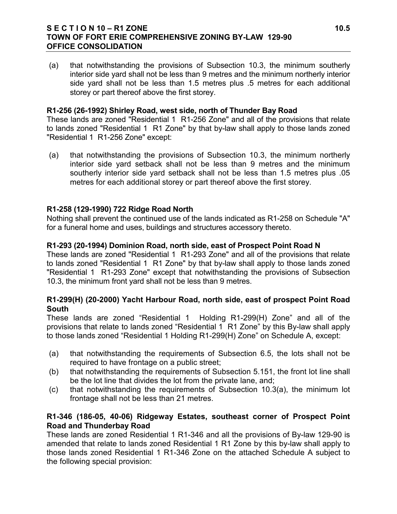#### **S E C T I O N 10 – R1 ZONE 10.5 TOWN OF FORT ERIE COMPREHENSIVE ZONING BY-LAW 129-90 OFFICE CONSOLIDATION**

(a) that notwithstanding the provisions of Subsection 10.3, the minimum southerly interior side yard shall not be less than 9 metres and the minimum northerly interior side yard shall not be less than 1.5 metres plus .5 metres for each additional storey or part thereof above the first storey.

### **R1-256 (26-1992) Shirley Road, west side, north of Thunder Bay Road**

These lands are zoned "Residential 1 R1-256 Zone" and all of the provisions that relate to lands zoned "Residential 1 R1 Zone" by that by-law shall apply to those lands zoned "Residential 1 R1-256 Zone" except:

(a) that notwithstanding the provisions of Subsection 10.3, the minimum northerly interior side yard setback shall not be less than 9 metres and the minimum southerly interior side yard setback shall not be less than 1.5 metres plus .05 metres for each additional storey or part thereof above the first storey.

## **R1-258 (129-1990) 722 Ridge Road North**

Nothing shall prevent the continued use of the lands indicated as R1-258 on Schedule "A" for a funeral home and uses, buildings and structures accessory thereto.

### **R1-293 (20-1994) Dominion Road, north side, east of Prospect Point Road N**

These lands are zoned "Residential 1 R1-293 Zone" and all of the provisions that relate to lands zoned "Residential 1 R1 Zone" by that by-law shall apply to those lands zoned "Residential 1 R1-293 Zone" except that notwithstanding the provisions of Subsection 10.3, the minimum front yard shall not be less than 9 metres.

## **R1-299(H) (20-2000) Yacht Harbour Road, north side, east of prospect Point Road South**

These lands are zoned "Residential 1 Holding R1-299(H) Zone" and all of the provisions that relate to lands zoned "Residential 1 R1 Zone" by this By-law shall apply to those lands zoned "Residential 1 Holding R1-299(H) Zone" on Schedule A, except:

- (a) that notwithstanding the requirements of Subsection 6.5, the lots shall not be required to have frontage on a public street;
- (b) that notwithstanding the requirements of Subsection 5.151, the front lot line shall be the lot line that divides the lot from the private lane, and;
- (c) that notwithstanding the requirements of Subsection 10.3(a), the minimum lot frontage shall not be less than 21 metres.

## **R1-346 (186-05, 40-06) Ridgeway Estates, southeast corner of Prospect Point Road and Thunderbay Road**

These lands are zoned Residential 1 R1-346 and all the provisions of By-law 129-90 is amended that relate to lands zoned Residential 1 R1 Zone by this by-law shall apply to those lands zoned Residential 1 R1-346 Zone on the attached Schedule A subject to the following special provision: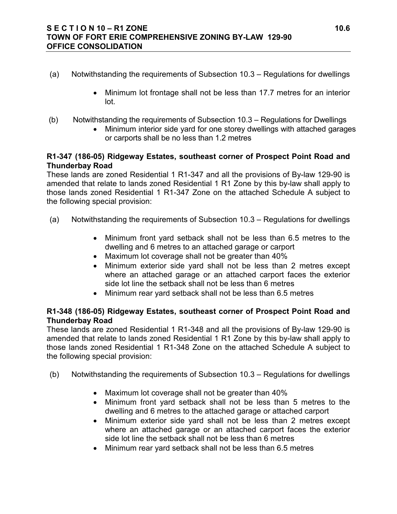### **S E C T I O N 10 – R1 ZONE 10.6 TOWN OF FORT ERIE COMPREHENSIVE ZONING BY-LAW 129-90 OFFICE CONSOLIDATION**

- (a) Notwithstanding the requirements of Subsection 10.3 Regulations for dwellings
	- Minimum lot frontage shall not be less than 17.7 metres for an interior lot.
- (b) Notwithstanding the requirements of Subsection 10.3 Regulations for Dwellings
	- Minimum interior side yard for one storey dwellings with attached garages or carports shall be no less than 1.2 metres

## **R1-347 (186-05) Ridgeway Estates, southeast corner of Prospect Point Road and Thunderbay Road**

These lands are zoned Residential 1 R1-347 and all the provisions of By-law 129-90 is amended that relate to lands zoned Residential 1 R1 Zone by this by-law shall apply to those lands zoned Residential 1 R1-347 Zone on the attached Schedule A subject to the following special provision:

- (a) Notwithstanding the requirements of Subsection 10.3 Regulations for dwellings
	- Minimum front yard setback shall not be less than 6.5 metres to the dwelling and 6 metres to an attached garage or carport
	- Maximum lot coverage shall not be greater than 40%
	- Minimum exterior side yard shall not be less than 2 metres except where an attached garage or an attached carport faces the exterior side lot line the setback shall not be less than 6 metres
	- Minimum rear vard setback shall not be less than 6.5 metres

## **R1-348 (186-05) Ridgeway Estates, southeast corner of Prospect Point Road and Thunderbay Road**

These lands are zoned Residential 1 R1-348 and all the provisions of By-law 129-90 is amended that relate to lands zoned Residential 1 R1 Zone by this by-law shall apply to those lands zoned Residential 1 R1-348 Zone on the attached Schedule A subject to the following special provision:

- (b) Notwithstanding the requirements of Subsection 10.3 Regulations for dwellings
	- Maximum lot coverage shall not be greater than 40%
	- Minimum front yard setback shall not be less than 5 metres to the dwelling and 6 metres to the attached garage or attached carport
	- Minimum exterior side yard shall not be less than 2 metres except where an attached garage or an attached carport faces the exterior side lot line the setback shall not be less than 6 metres
	- Minimum rear yard setback shall not be less than 6.5 metres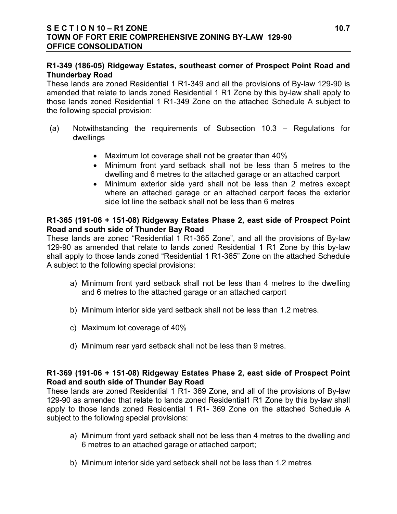## **R1-349 (186-05) Ridgeway Estates, southeast corner of Prospect Point Road and Thunderbay Road**

These lands are zoned Residential 1 R1-349 and all the provisions of By-law 129-90 is amended that relate to lands zoned Residential 1 R1 Zone by this by-law shall apply to those lands zoned Residential 1 R1-349 Zone on the attached Schedule A subject to the following special provision:

- (a) Notwithstanding the requirements of Subsection 10.3 Regulations for dwellings
	- Maximum lot coverage shall not be greater than 40%
	- Minimum front yard setback shall not be less than 5 metres to the dwelling and 6 metres to the attached garage or an attached carport
	- Minimum exterior side yard shall not be less than 2 metres except where an attached garage or an attached carport faces the exterior side lot line the setback shall not be less than 6 metres

## **R1-365 (191-06 + 151-08) Ridgeway Estates Phase 2, east side of Prospect Point Road and south side of Thunder Bay Road**

These lands are zoned "Residential 1 R1-365 Zone", and all the provisions of By-law 129-90 as amended that relate to lands zoned Residential 1 R1 Zone by this by-law shall apply to those lands zoned "Residential 1 R1-365" Zone on the attached Schedule A subject to the following special provisions:

- a) Minimum front yard setback shall not be less than 4 metres to the dwelling and 6 metres to the attached garage or an attached carport
- b) Minimum interior side yard setback shall not be less than 1.2 metres.
- c) Maximum lot coverage of 40%
- d) Minimum rear yard setback shall not be less than 9 metres.

### **R1-369 (191-06 + 151-08) Ridgeway Estates Phase 2, east side of Prospect Point Road and south side of Thunder Bay Road**

These lands are zoned Residential 1 R1- 369 Zone, and all of the provisions of By-law 129-90 as amended that relate to lands zoned Residential1 R1 Zone by this by-law shall apply to those lands zoned Residential 1 R1- 369 Zone on the attached Schedule A subject to the following special provisions:

- a) Minimum front yard setback shall not be less than 4 metres to the dwelling and 6 metres to an attached garage or attached carport;
- b) Minimum interior side yard setback shall not be less than 1.2 metres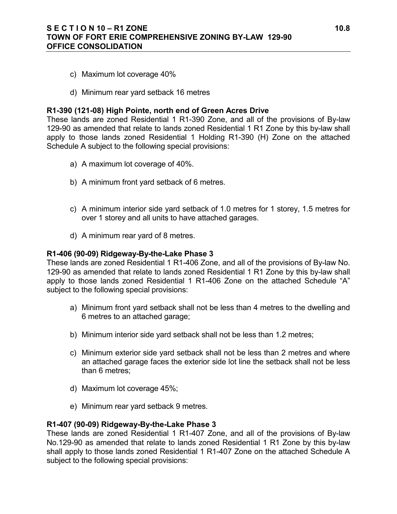### **S E C T I O N 10 – R1 ZONE 10.8 TOWN OF FORT ERIE COMPREHENSIVE ZONING BY-LAW 129-90 OFFICE CONSOLIDATION**

- c) Maximum lot coverage 40%
- d) Minimum rear yard setback 16 metres

#### **R1-390 (121-08) High Pointe, north end of Green Acres Drive**

These lands are zoned Residential 1 R1-390 Zone, and all of the provisions of By-law 129-90 as amended that relate to lands zoned Residential 1 R1 Zone by this by-law shall apply to those lands zoned Residential 1 Holding R1-390 (H) Zone on the attached Schedule A subject to the following special provisions:

- a) A maximum lot coverage of 40%.
- b) A minimum front yard setback of 6 metres.
- c) A minimum interior side yard setback of 1.0 metres for 1 storey, 1.5 metres for over 1 storey and all units to have attached garages.
- d) A minimum rear yard of 8 metres.

#### **R1-406 (90-09) Ridgeway-By-the-Lake Phase 3**

These lands are zoned Residential 1 R1-406 Zone, and all of the provisions of By-law No. 129-90 as amended that relate to lands zoned Residential 1 R1 Zone by this by-law shall apply to those lands zoned Residential 1 R1-406 Zone on the attached Schedule "A" subject to the following special provisions:

- a) Minimum front yard setback shall not be less than 4 metres to the dwelling and 6 metres to an attached garage;
- b) Minimum interior side yard setback shall not be less than 1.2 metres;
- c) Minimum exterior side yard setback shall not be less than 2 metres and where an attached garage faces the exterior side lot line the setback shall not be less than 6 metres;
- d) Maximum lot coverage 45%;
- e) Minimum rear yard setback 9 metres.

#### **R1-407 (90-09) Ridgeway-By-the-Lake Phase 3**

These lands are zoned Residential 1 R1-407 Zone, and all of the provisions of By-law No.129-90 as amended that relate to lands zoned Residential 1 R1 Zone by this by-law shall apply to those lands zoned Residential 1 R1-407 Zone on the attached Schedule A subject to the following special provisions: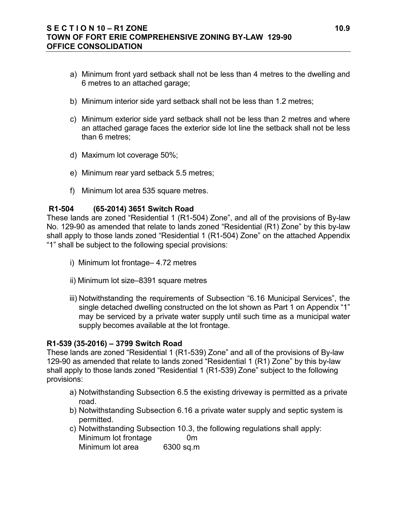### **S E C T I O N 10 – R1 ZONE 10.9 TOWN OF FORT ERIE COMPREHENSIVE ZONING BY-LAW 129-90 OFFICE CONSOLIDATION**

- a) Minimum front yard setback shall not be less than 4 metres to the dwelling and 6 metres to an attached garage;
- b) Minimum interior side yard setback shall not be less than 1.2 metres;
- c) Minimum exterior side yard setback shall not be less than 2 metres and where an attached garage faces the exterior side lot line the setback shall not be less than 6 metres;
- d) Maximum lot coverage 50%;
- e) Minimum rear yard setback 5.5 metres;
- f) Minimum lot area 535 square metres.

#### **R1-504 (65-2014) 3651 Switch Road**

These lands are zoned "Residential 1 (R1-504) Zone", and all of the provisions of By-law No. 129-90 as amended that relate to lands zoned "Residential (R1) Zone" by this by-law shall apply to those lands zoned "Residential 1 (R1-504) Zone" on the attached Appendix "1" shall be subject to the following special provisions:

- i) Minimum lot frontage– 4.72 metres
- ii) Minimum lot size–8391 square metres
- iii) Notwithstanding the requirements of Subsection "6.16 Municipal Services", the single detached dwelling constructed on the lot shown as Part 1 on Appendix "1" may be serviced by a private water supply until such time as a municipal water supply becomes available at the lot frontage.

### **R1-539 (35-2016) – 3799 Switch Road**

These lands are zoned "Residential 1 (R1-539) Zone" and all of the provisions of By-law 129-90 as amended that relate to lands zoned "Residential 1 (R1) Zone" by this by-law shall apply to those lands zoned "Residential 1 (R1-539) Zone" subject to the following provisions:

- a) Notwithstanding Subsection 6.5 the existing driveway is permitted as a private road.
- b) Notwithstanding Subsection 6.16 a private water supply and septic system is permitted.
- c) Notwithstanding Subsection 10.3, the following regulations shall apply: Minimum lot frontage 0m Minimum lot area 6300 sq.m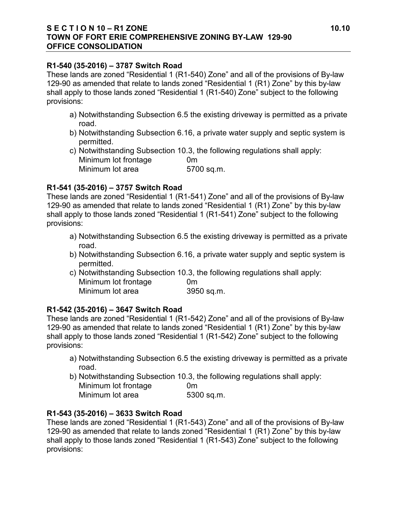### **S E C T I O N 10 – R1 ZONE 10.10 TOWN OF FORT ERIE COMPREHENSIVE ZONING BY-LAW 129-90 OFFICE CONSOLIDATION**

### **R1-540 (35-2016) – 3787 Switch Road**

These lands are zoned "Residential 1 (R1-540) Zone" and all of the provisions of By-law 129-90 as amended that relate to lands zoned "Residential 1 (R1) Zone" by this by-law shall apply to those lands zoned "Residential 1 (R1-540) Zone" subject to the following provisions:

- a) Notwithstanding Subsection 6.5 the existing driveway is permitted as a private road.
- b) Notwithstanding Subsection 6.16, a private water supply and septic system is permitted.
- c) Notwithstanding Subsection 10.3, the following regulations shall apply: Minimum lot frontage 0m Minimum lot area 5700 sq.m.

## **R1-541 (35-2016) – 3757 Switch Road**

These lands are zoned "Residential 1 (R1-541) Zone" and all of the provisions of By-law 129-90 as amended that relate to lands zoned "Residential 1 (R1) Zone" by this by-law shall apply to those lands zoned "Residential 1 (R1-541) Zone" subject to the following provisions:

- a) Notwithstanding Subsection 6.5 the existing driveway is permitted as a private road.
- b) Notwithstanding Subsection 6.16, a private water supply and septic system is permitted.
- c) Notwithstanding Subsection 10.3, the following regulations shall apply: Minimum lot frontage 0m Minimum lot area 3950 sq.m.

# **R1-542 (35-2016) – 3647 Switch Road**

These lands are zoned "Residential 1 (R1-542) Zone" and all of the provisions of By-law 129-90 as amended that relate to lands zoned "Residential 1 (R1) Zone" by this by-law shall apply to those lands zoned "Residential 1 (R1-542) Zone" subject to the following provisions:

- a) Notwithstanding Subsection 6.5 the existing driveway is permitted as a private road.
- b) Notwithstanding Subsection 10.3, the following regulations shall apply: Minimum lot frontage 0m
	- Minimum lot area 5300 sq.m.

# **R1-543 (35-2016) – 3633 Switch Road**

These lands are zoned "Residential 1 (R1-543) Zone" and all of the provisions of By-law 129-90 as amended that relate to lands zoned "Residential 1 (R1) Zone" by this by-law shall apply to those lands zoned "Residential 1 (R1-543) Zone" subject to the following provisions: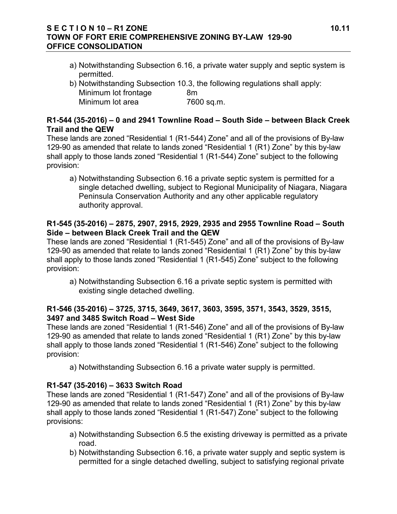## **S E C T I O N 10 – R1 ZONE 10.11 TOWN OF FORT ERIE COMPREHENSIVE ZONING BY-LAW 129-90 OFFICE CONSOLIDATION**

- a) Notwithstanding Subsection 6.16, a private water supply and septic system is permitted.
- b) Notwithstanding Subsection 10.3, the following regulations shall apply: Minimum lot frontage 8m Minimum lot area 7600 sq.m.

# **R1-544 (35-2016) – 0 and 2941 Townline Road – South Side – between Black Creek Trail and the QEW**

These lands are zoned "Residential 1 (R1-544) Zone" and all of the provisions of By-law 129-90 as amended that relate to lands zoned "Residential 1 (R1) Zone" by this by-law shall apply to those lands zoned "Residential 1 (R1-544) Zone" subject to the following provision:

a) Notwithstanding Subsection 6.16 a private septic system is permitted for a single detached dwelling, subject to Regional Municipality of Niagara, Niagara Peninsula Conservation Authority and any other applicable regulatory authority approval.

## **R1-545 (35-2016) – 2875, 2907, 2915, 2929, 2935 and 2955 Townline Road – South Side – between Black Creek Trail and the QEW**

These lands are zoned "Residential 1 (R1-545) Zone" and all of the provisions of By-law 129-90 as amended that relate to lands zoned "Residential 1 (R1) Zone" by this by-law shall apply to those lands zoned "Residential 1 (R1-545) Zone" subject to the following provision:

a) Notwithstanding Subsection 6.16 a private septic system is permitted with existing single detached dwelling.

# **R1-546 (35-2016) – 3725, 3715, 3649, 3617, 3603, 3595, 3571, 3543, 3529, 3515, 3497 and 3485 Switch Road – West Side**

These lands are zoned "Residential 1 (R1-546) Zone" and all of the provisions of By-law 129-90 as amended that relate to lands zoned "Residential 1 (R1) Zone" by this by-law shall apply to those lands zoned "Residential 1 (R1-546) Zone" subject to the following provision:

a) Notwithstanding Subsection 6.16 a private water supply is permitted.

# **R1-547 (35-2016) – 3633 Switch Road**

These lands are zoned "Residential 1 (R1-547) Zone" and all of the provisions of By-law 129-90 as amended that relate to lands zoned "Residential 1 (R1) Zone" by this by-law shall apply to those lands zoned "Residential 1 (R1-547) Zone" subject to the following provisions:

- a) Notwithstanding Subsection 6.5 the existing driveway is permitted as a private road.
- b) Notwithstanding Subsection 6.16, a private water supply and septic system is permitted for a single detached dwelling, subject to satisfying regional private